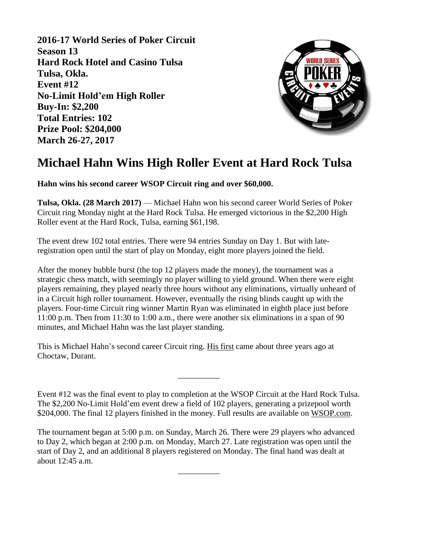**2016-17 World Series of Poker Circuit Season 13 Hard Rock Hotel and Casino Tulsa Tulsa, Okla. Event #12 No-Limit Hold'em High Roller Buy-In: \$2,200 Total Entries: 102 Prize Pool: \$204,000 March 26-27, 2017**



## **Michael Hahn Wins High Roller Event at Hard Rock Tulsa**

**Hahn wins his second career WSOP Circuit ring and over \$60,000.**

**Tulsa, Okla. (28 March 2017)** — Michael Hahn won his second career World Series of Poker Circuit ring Monday night at the Hard Rock Tulsa. He emerged victorious in the \$2,200 High Roller event at the Hard Rock, Tulsa, earning \$61,198.

The event drew 102 total entries. There were 94 entries Sunday on Day 1. But with lateregistration open until the start of play on Monday, eight more players joined the field.

After the money bubble burst (the top 12 players made the money), the tournament was a strategic chess match, with seemingly no player willing to yield ground. When there were eight players remaining, they played nearly three hours without any eliminations, virtually unheard of in a Circuit high roller tournament. However, eventually the rising blinds caught up with the players. Four-time Circuit ring winner Martin Ryan was eliminated in eighth place just before 11:00 p.m. Then from 11:30 to 1:00 a.m., there were another six eliminations in a span of 90 minutes, and Michael Hahn was the last player standing.

This is Michael Hahn's second career Circuit ring. [His first](http://www.wsop.com/tournaments/results.asp?grid=920&tid=12426) came about three years ago at Choctaw, Durant.

Event #12 was the final event to play to completion at the WSOP Circuit at the Hard Rock Tulsa. The \$2,200 No-Limit Hold'em event drew a field of 102 players, generating a prizepool worth \$204,000. The final 12 players finished in the money. Full results are available on [WSOP.com.](http://www.wsop.com/tournaments/results.asp?grid=1274&tid=15522)

\_\_\_\_\_\_\_\_\_\_

The tournament began at 5:00 p.m. on Sunday, March 26. There were 29 players who advanced to Day 2, which began at 2:00 p.m. on Monday, March 27. Late registration was open until the start of Day 2, and an additional 8 players registered on Monday. The final hand was dealt at about 12:45 a.m.

 $\overline{\phantom{a}}$